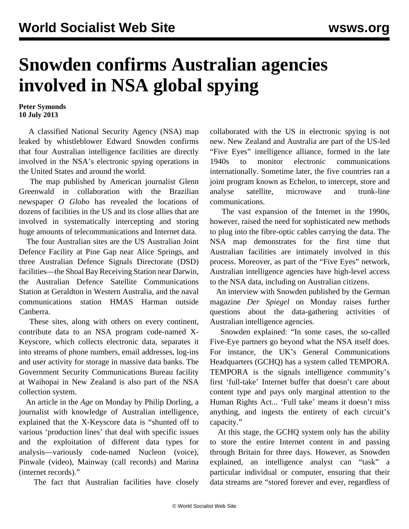## **Snowden confirms Australian agencies involved in NSA global spying**

## **Peter Symonds 10 July 2013**

 A classified National Security Agency (NSA) map leaked by whistleblower Edward Snowden confirms that four Australian intelligence facilities are directly involved in the NSA's electronic spying operations in the United States and around the world.

 The map published by American journalist Glenn Greenwald in collaboration with the Brazilian newspaper *O Globo* has revealed the locations of dozens of facilities in the US and its close allies that are involved in systematically intercepting and storing huge amounts of telecommunications and Internet data.

 The four Australian sites are the US Australian Joint Defence Facility at Pine Gap near Alice Springs, and three Australian Defence Signals Directorate (DSD) facilities—the Shoal Bay Receiving Station near Darwin, the Australian Defence Satellite Communications Station at Geraldton in Western Australia, and the naval communications station HMAS Harman outside Canberra.

 These sites, along with others on every continent, contribute data to an NSA program code-named X-Keyscore, which collects electronic data, separates it into streams of phone numbers, email addresses, log-ins and user activity for storage in massive data banks. The Government Security Communications Bureau facility at Waihopai in New Zealand is also part of the NSA collection system.

 An article in the *Age* on Monday by Philip Dorling, a journalist with knowledge of Australian intelligence, explained that the X-Keyscore data is "shunted off to various 'production lines' that deal with specific issues and the exploitation of different data types for analysis—variously code-named Nucleon (voice), Pinwale (video), Mainway (call records) and Marina (internet records)."

The fact that Australian facilities have closely

collaborated with the US in electronic spying is not new. New Zealand and Australia are part of the US-led "Five Eyes" intelligence alliance, formed in the late 1940s to monitor electronic communications internationally. Sometime later, the five countries ran a joint program known as Echelon, to intercept, store and analyse satellite, microwave and trunk-line communications.

 The vast expansion of the Internet in the 1990s, however, raised the need for sophisticated new methods to plug into the fibre-optic cables carrying the data. The NSA map demonstrates for the first time that Australian facilities are intimately involved in this process. Moreover, as part of the "Five Eyes" network, Australian intelligence agencies have high-level access to the NSA data, including on Australian citizens.

 An interview with Snowden published by the German magazine *Der Spiegel* on Monday raises further questions about the data-gathering activities of Australian intelligence agencies.

 Snowden explained: "In some cases, the so-called Five-Eye partners go beyond what the NSA itself does. For instance, the UK's General Communications Headquarters (GCHQ) has a system called TEMPORA. TEMPORA is the signals intelligence community's first 'full-take' Internet buffer that doesn't care about content type and pays only marginal attention to the Human Rights Act... 'Full take' means it doesn't miss anything, and ingests the entirety of each circuit's capacity."

 At this stage, the GCHQ system only has the ability to store the entire Internet content in and passing through Britain for three days. However, as Snowden explained, an intelligence analyst can "task" a particular individual or computer, ensuring that their data streams are "stored forever and ever, regardless of